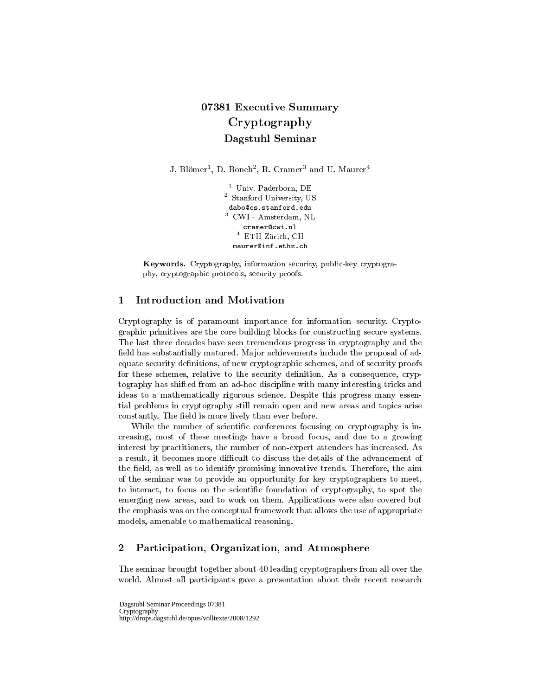## 07381 Executive Summary Cryptography  $-$  Dagstuhl Seminar  $-$

J. Blömer $^1$ , D. Boneh $^2$ , R. Cramer $^3$  and U. Maurer $^4$ 

<sup>1</sup> Univ. Paderborn, DE <sup>2</sup> Stanford University, US dabo@cs.stanford.edu <sup>3</sup> CWI - Amsterdam, NL cramer@cwi.nl  $^4\,$  ETH Zürich, CH maurer@inf.ethz.ch

Keywords. Cryptography, information security, public-key cryptography, cryptographic protocols, security proofs.

## 1 Introduction and Motivation

Cryptography is of paramount importance for information security. Cryptographic primitives are the core building blocks for constructing secure systems. The last three decades have seen tremendous progress in cryptography and the field has substantially matured. Major achievements include the proposal of adequate security definitions, of new cryptographic schemes, and of security proofs for these schemes, relative to the security definition. As a consequence, cryptography has shifted from an ad-hoc discipline with many interesting tricks and ideas to a mathematically rigorous science. Despite this progress many essential problems in cryptography still remain open and new areas and topics arise constantly. The field is more lively than ever before.

While the number of scientific conferences focusing on cryptography is increasing, most of these meetings have a broad focus, and due to a growing interest by practitioners, the number of non-expert attendees has increased. As a result, it becomes more difficult to discuss the details of the advancement of the field, as well as to identify promising innovative trends. Therefore, the aim of the seminar was to provide an opportunity for key cryptographers to meet, to interact, to focus on the scientic foundation of cryptography, to spot the emerging new areas, and to work on them. Applications were also covered but the emphasis was on the conceptual framework that allows the use of appropriate models, amenable to mathematical reasoning.

## 2 Participation, Organization, and Atmosphere

The seminar brought together about 40 leading cryptographers from all over the world. Almost all participants gave a presentation about their recent research

Dagstuhl Seminar Proceedings 07381 Cryptography http://drops.dagstuhl.de/opus/volltexte/2008/1292